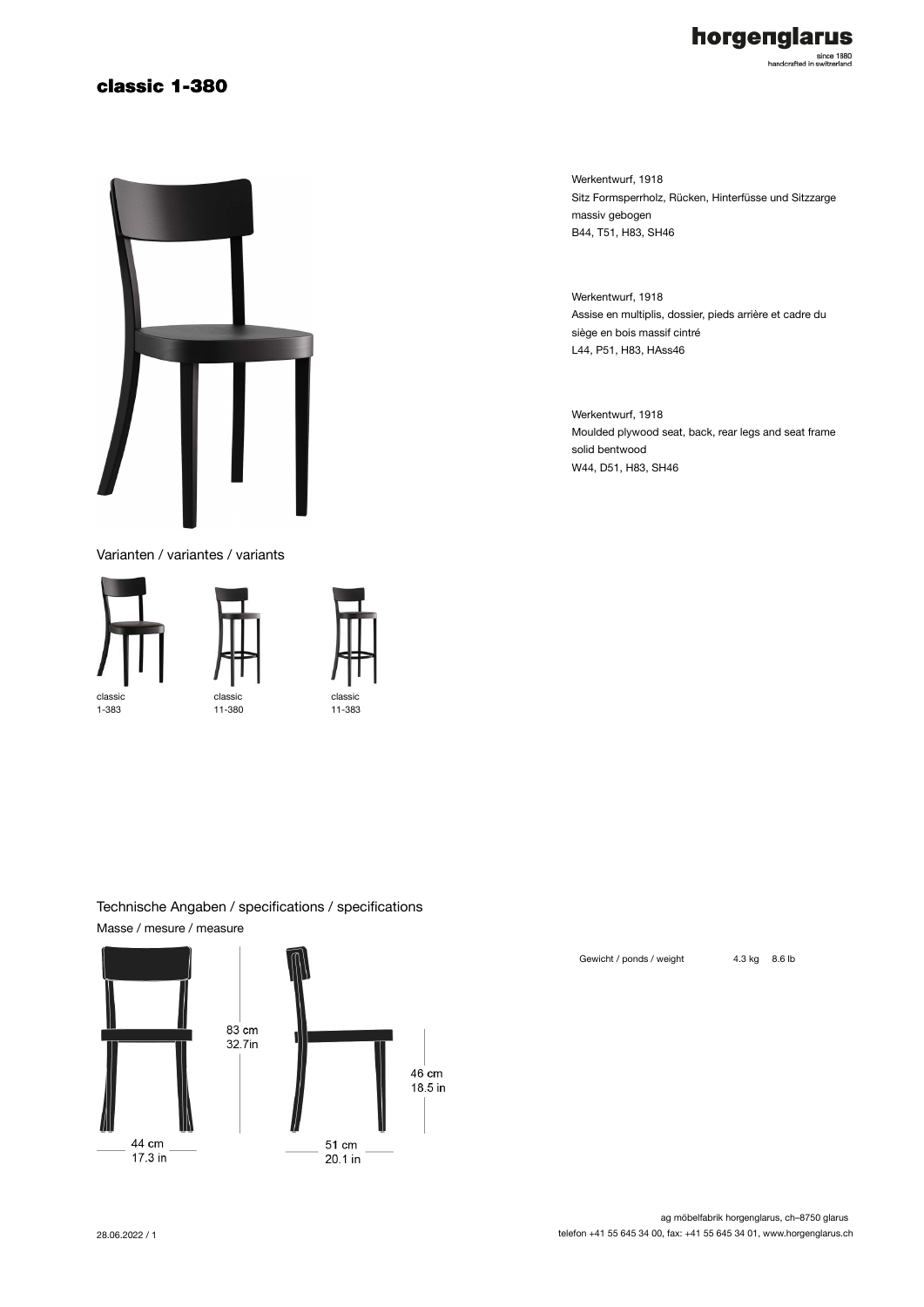# classic 1-380



Varianten / variantes / variants





classi 11-383 Werkentwurf, 1918 Sitz Formsperrholz, Rücken, Hinterfüsse und Sitzzarge massiv gebogen B44, T51, H83, SH46

Werkentwurf, 1918 Assise en multiplis, dossier, pieds arrière et cadre du siège en bois massif cintré L44, P51, H83, HAss46

Werkentwurf, 1918 Moulded plywood seat, back, rear legs and seat frame solid bentwood W44, D51, H83, SH46

### Technische Angaben / specifications / specifications Masse / mesure / measure



ag möbelfabrik horgenglarus, ch–8750 glarus telefon +41 55 645 34 00, fax: +41 55 645 34 01, www.horgenglarus.ch

Gewicht / ponds / weight 4.3 kg 8.6 lb

horgenglarus

since 1880<br>handcrafted in switzerland